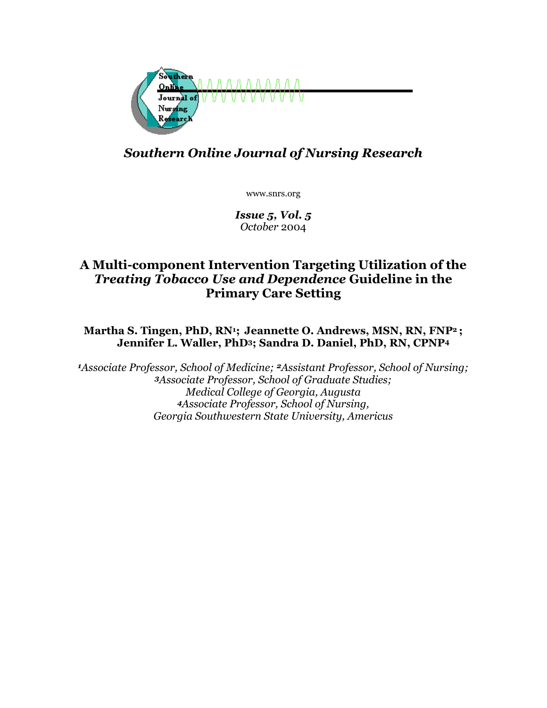

# *Southern Online Journal of Nursing Research*

www.snrs.org

*Issue 5, Vol. 5 October* 2004

# **A Multi-component Intervention Targeting Utilization of the**  *Treating Tobacco Use and Dependence* **Guideline in the Primary Care Setting**

## **Martha S. Tingen, PhD, RN1; Jeannette O. Andrews, MSN, RN, FNP2 ; Jennifer L. Waller, PhD3; Sandra D. Daniel, PhD, RN, CPNP4**

*<sup>1</sup>Associate Professor, School of Medicine; 2Assistant Professor, School of Nursing; <sup>3</sup>Associate Professor, School of Graduate Studies; Medical College of Georgia, Augusta <sup>4</sup>Associate Professor, School of Nursing, Georgia Southwestern State University, Americus*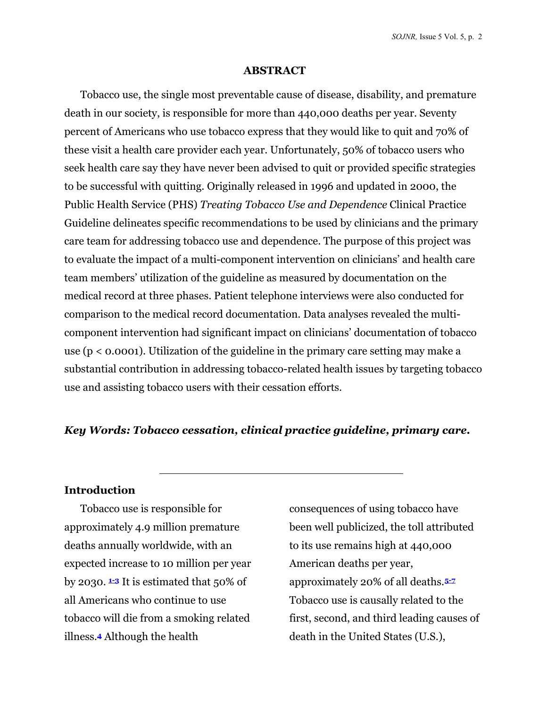*SOJNR,* Issue 5 Vol. 5, p. 2

#### **ABSTRACT**

Tobacco use, the single most preventable cause of disease, disability, and premature death in our society, is responsible for more than 440,000 deaths per year. Seventy percent of Americans who use tobacco express that they would like to quit and 70% of these visit a health care provider each year. Unfortunately, 50% of tobacco users who seek health care say they have never been advised to quit or provided specific strategies to be successful with quitting. Originally released in 1996 and updated in 2000, the Public Health Service (PHS) *Treating Tobacco Use and Dependence* Clinical Practice Guideline delineates specific recommendations to be used by clinicians and the primary care team for addressing tobacco use and dependence. The purpose of this project was to evaluate the impact of a multi-component intervention on clinicians' and health care team members' utilization of the guideline as measured by documentation on the medical record at three phases. Patient telephone interviews were also conducted for comparison to the medical record documentation. Data analyses revealed the multicomponent intervention had significant impact on clinicians' documentation of tobacco use (p < 0.0001). Utilization of the guideline in the primary care setting may make a substantial contribution in addressing tobacco-related health issues by targeting tobacco use and assisting tobacco users with their cessation efforts.

### *Key Words: Tobacco cessation, clinical practice guideline, primary care.*

### **Introduction**

Tobacco use is responsible for approximately 4.9 million premature deaths annually worldwide, with an expected increase to 10 million per year by 2030.  $\pm$ **3** It is estimated that 50% of all Americans who continue to use tobacco will die from a smoking related illness.**4** Although the health

consequences of using tobacco have been well publicized, the toll attributed to its use remains high at 440,000 American deaths per year, approximately 20% of all deaths.**5-7** Tobacco use is causally related to the first, second, and third leading causes of death in the United States (U.S.),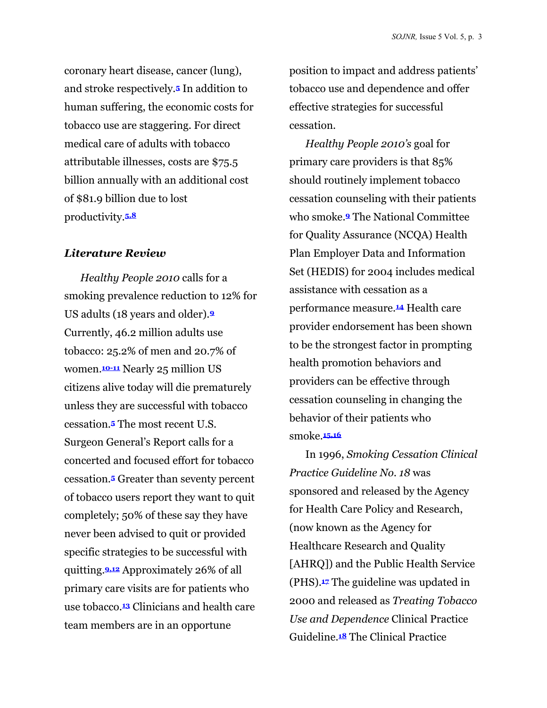coronary heart disease, cancer (lung), and stroke respectively.**5** In addition to human suffering, the economic costs for tobacco use are staggering. For direct medical care of adults with tobacco attributable illnesses, costs are \$75.5 billion annually with an additional cost of \$81.9 billion due to lost productivity.**5,8** 

#### *Literature Review*

*Healthy People 2010* calls for a smoking prevalence reduction to 12% for US adults (18 years and older).**<sup>9</sup>** Currently, 46.2 million adults use tobacco: 25.2% of men and 20.7% of women.**10-11** Nearly 25 million US citizens alive today will die prematurely unless they are successful with tobacco cessation.**5** The most recent U.S. Surgeon General's Report calls for a concerted and focused effort for tobacco cessation.**5** Greater than seventy percent of tobacco users report they want to quit completely; 50% of these say they have never been advised to quit or provided specific strategies to be successful with quitting.**9,12** Approximately 26% of all primary care visits are for patients who use tobacco.**13** Clinicians and health care team members are in an opportune

position to impact and address patients' tobacco use and dependence and offer effective strategies for successful cessation.

*Healthy People 2010's* goal for primary care providers is that 85% should routinely implement tobacco cessation counseling with their patients who smoke.**9** The National Committee for Quality Assurance (NCQA) Health Plan Employer Data and Information Set (HEDIS) for 2004 includes medical assistance with cessation as a performance measure.**14** Health care provider endorsement has been shown to be the strongest factor in prompting health promotion behaviors and providers can be effective through cessation counseling in changing the behavior of their patients who smoke.**15,16**

In 1996, *Smoking Cessation Clinical Practice Guideline No. 18* was sponsored and released by the Agency for Health Care Policy and Research, (now known as the Agency for Healthcare Research and Quality [AHRQ]) and the Public Health Service (PHS).**17** The guideline was updated in 2000 and released as *Treating Tobacco Use and Dependence* Clinical Practice Guideline.**18** The Clinical Practice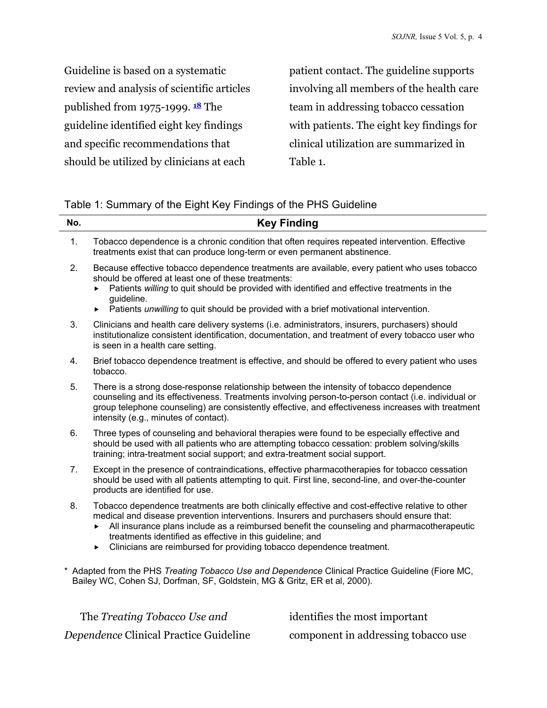Guideline is based on a systematic review and analysis of scientific articles published from 1975-1999. **<sup>18</sup>** The guideline identified eight key findings and specific recommendations that should be utilized by clinicians at each

patient contact. The guideline supports involving all members of the health care team in addressing tobacco cessation with patients. The eight key findings for clinical utilization are summarized in Table 1.

| No.            | <b>Key Finding</b>                                                                                                                                                                                                                                                                                                                                                                                                                          |
|----------------|---------------------------------------------------------------------------------------------------------------------------------------------------------------------------------------------------------------------------------------------------------------------------------------------------------------------------------------------------------------------------------------------------------------------------------------------|
| $\mathbf{1}$ . | Tobacco dependence is a chronic condition that often requires repeated intervention. Effective<br>treatments exist that can produce long-term or even permanent abstinence.                                                                                                                                                                                                                                                                 |
| 2.             | Because effective tobacco dependence treatments are available, every patient who uses tobacco<br>should be offered at least one of these treatments:<br>Patients willing to quit should be provided with identified and effective treatments in the<br>guideline.<br>Patients unwilling to quit should be provided with a brief motivational intervention.<br>▶                                                                             |
| 3.             | Clinicians and health care delivery systems (i.e. administrators, insurers, purchasers) should<br>institutionalize consistent identification, documentation, and treatment of every tobacco user who<br>is seen in a health care setting.                                                                                                                                                                                                   |
| 4.             | Brief tobacco dependence treatment is effective, and should be offered to every patient who uses<br>tobacco.                                                                                                                                                                                                                                                                                                                                |
| 5.             | There is a strong dose-response relationship between the intensity of tobacco dependence<br>counseling and its effectiveness. Treatments involving person-to-person contact (i.e. individual or<br>group telephone counseling) are consistently effective, and effectiveness increases with treatment<br>intensity (e.g., minutes of contact).                                                                                              |
| 6.             | Three types of counseling and behavioral therapies were found to be especially effective and<br>should be used with all patients who are attempting tobacco cessation: problem solving/skills<br>training; intra-treatment social support; and extra-treatment social support.                                                                                                                                                              |
| 7 <sub>1</sub> | Except in the presence of contraindications, effective pharmacotherapies for tobacco cessation<br>should be used with all patients attempting to quit. First line, second-line, and over-the-counter<br>products are identified for use.                                                                                                                                                                                                    |
| 8.             | Tobacco dependence treatments are both clinically effective and cost-effective relative to other<br>medical and disease prevention interventions. Insurers and purchasers should ensure that:<br>All insurance plans include as a reimbursed benefit the counseling and pharmacotherapeutic<br>▶<br>treatments identified as effective in this guideline; and<br>Clinicians are reimbursed for providing tobacco dependence treatment.<br>▶ |
|                | * Adapted from the PHS Treating Tobacco Use and Dependence Clinical Practice Guideline (Fiore MC,<br>Bailey WC, Cohen SJ, Dorfman, SF, Goldstein, MG & Gritz, ER et al, 2000).                                                                                                                                                                                                                                                              |

The *Treating Tobacco Use and Dependence* Clinical Practice Guideline identifies the most important component in addressing tobacco use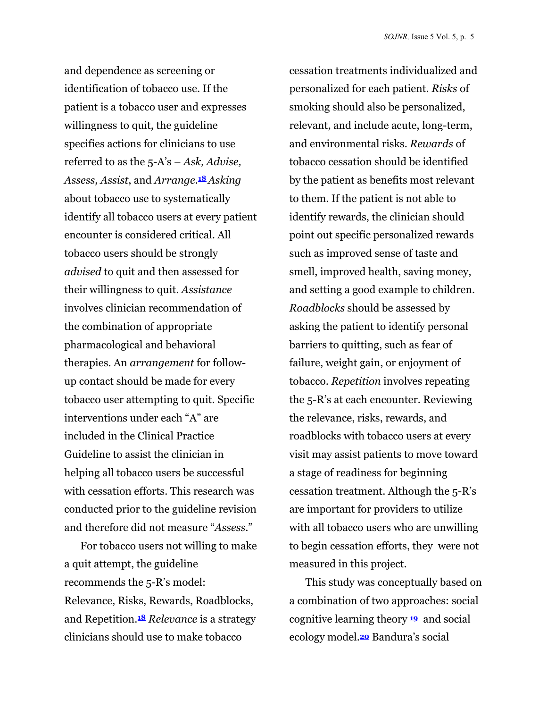and dependence as screening or identification of tobacco use. If the patient is a tobacco user and expresses willingness to quit, the guideline specifies actions for clinicians to use referred to as the 5-A's – *Ask, Advise, Assess, Assist*, and *Arrange*.**18** *Asking*  about tobacco use to systematically identify all tobacco users at every patient encounter is considered critical. All tobacco users should be strongly *advised* to quit and then assessed for their willingness to quit. *Assistance* involves clinician recommendation of the combination of appropriate pharmacological and behavioral therapies. An *arrangement* for followup contact should be made for every tobacco user attempting to quit. Specific interventions under each "A" are included in the Clinical Practice Guideline to assist the clinician in helping all tobacco users be successful with cessation efforts. This research was conducted prior to the guideline revision and therefore did not measure "*Assess*."

For tobacco users not willing to make a quit attempt, the guideline recommends the 5-R's model: Relevance, Risks, Rewards, Roadblocks, and Repetition.**<sup>18</sup>** *Relevance* is a strategy clinicians should use to make tobacco

cessation treatments individualized and personalized for each patient. *Risks* of smoking should also be personalized, relevant, and include acute, long-term, and environmental risks. *Rewards* of tobacco cessation should be identified by the patient as benefits most relevant to them. If the patient is not able to identify rewards, the clinician should point out specific personalized rewards such as improved sense of taste and smell, improved health, saving money, and setting a good example to children. *Roadblocks* should be assessed by asking the patient to identify personal barriers to quitting, such as fear of failure, weight gain, or enjoyment of tobacco. *Repetition* involves repeating the 5-R's at each encounter. Reviewing the relevance, risks, rewards, and roadblocks with tobacco users at every visit may assist patients to move toward a stage of readiness for beginning cessation treatment. Although the 5-R's are important for providers to utilize with all tobacco users who are unwilling to begin cessation efforts, they were not measured in this project.

This study was conceptually based on a combination of two approaches: social cognitive learning theory **<sup>19</sup>** and social ecology model.**20** Bandura's social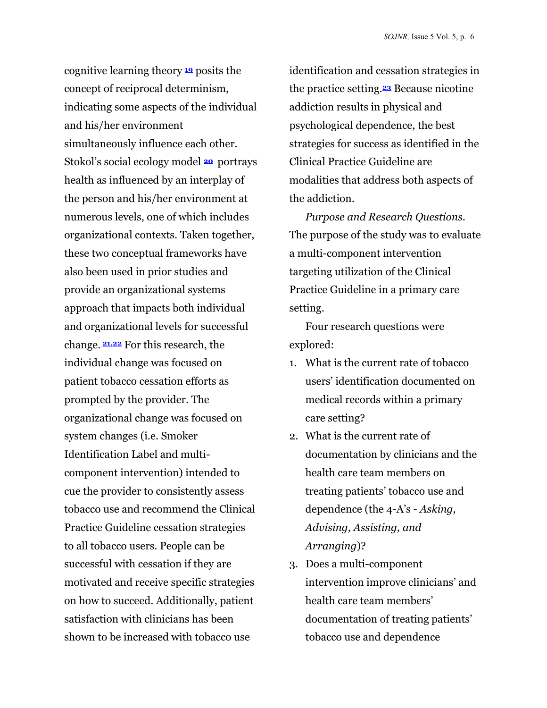cognitive learning theory **<sup>19</sup>** posits the concept of reciprocal determinism, indicating some aspects of the individual and his/her environment simultaneously influence each other. Stokol's social ecology model **<sup>20</sup>** portrays health as influenced by an interplay of the person and his/her environment at numerous levels, one of which includes organizational contexts. Taken together, these two conceptual frameworks have also been used in prior studies and provide an organizational systems approach that impacts both individual and organizational levels for successful change. **21,22** For this research, the individual change was focused on patient tobacco cessation efforts as prompted by the provider. The organizational change was focused on system changes (i.e. Smoker Identification Label and multicomponent intervention) intended to cue the provider to consistently assess tobacco use and recommend the Clinical Practice Guideline cessation strategies to all tobacco users. People can be successful with cessation if they are motivated and receive specific strategies on how to succeed. Additionally, patient satisfaction with clinicians has been shown to be increased with tobacco use

identification and cessation strategies in the practice setting.**23** Because nicotine addiction results in physical and psychological dependence, the best strategies for success as identified in the Clinical Practice Guideline are modalities that address both aspects of the addiction.

*Purpose and Research Questions*. The purpose of the study was to evaluate a multi-component intervention targeting utilization of the Clinical Practice Guideline in a primary care setting.

Four research questions were explored:

- 1. What is the current rate of tobacco users' identification documented on medical records within a primary care setting?
- 2. What is the current rate of documentation by clinicians and the health care team members on treating patients' tobacco use and dependence (the 4-A's - *Asking, Advising, Assisting, and Arranging*)?
- 3. Does a multi-component intervention improve clinicians' and health care team members' documentation of treating patients' tobacco use and dependence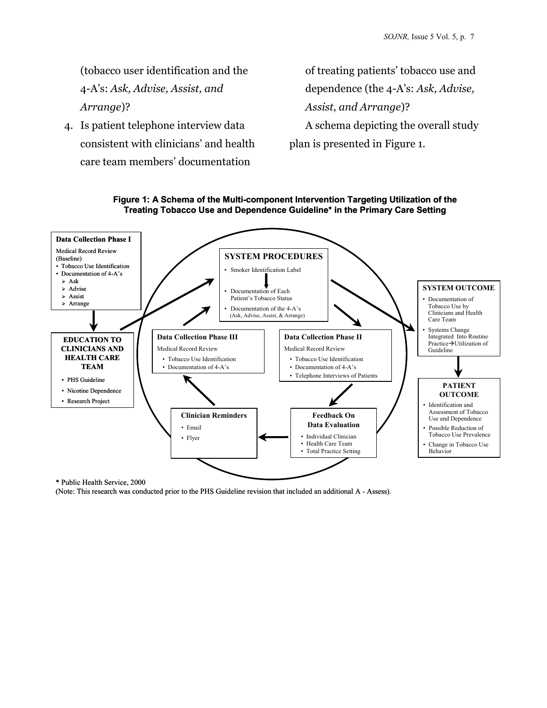(tobacco user identification and the 4-A's: *Ask, Advise, Assist, and Arrange*)?

4. Is patient telephone interview data consistent with clinicians' and health care team members' documentation

of treating patients' tobacco use and dependence (the 4-A's: *Ask, Advise, Assist, and Arrange*)? A schema depicting the overall study plan is presented in Figure 1.





(Note: This research was conducted prior to the PHS Guideline revision that included an additional A - Assess).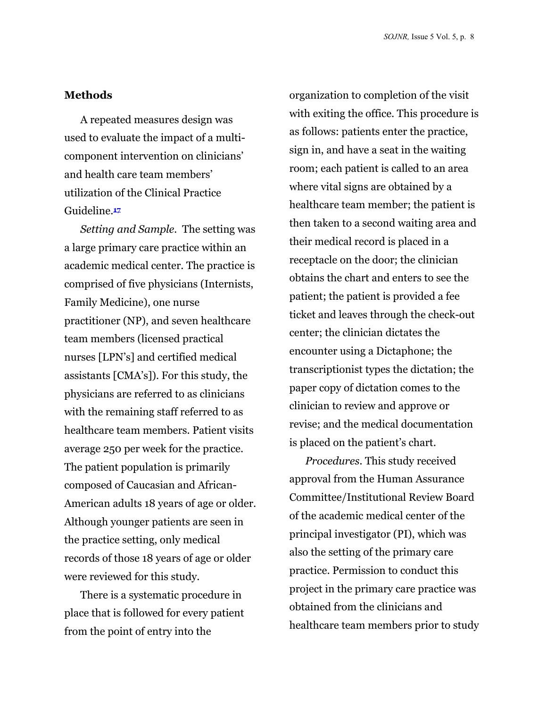#### **Methods**

A repeated measures design was used to evaluate the impact of a multicomponent intervention on clinicians' and health care team members' utilization of the Clinical Practice Guideline.**<sup>17</sup>**

*Setting and Sample.* The setting was a large primary care practice within an academic medical center. The practice is comprised of five physicians (Internists, Family Medicine), one nurse practitioner (NP), and seven healthcare team members (licensed practical nurses [LPN's] and certified medical assistants [CMA's]). For this study, the physicians are referred to as clinicians with the remaining staff referred to as healthcare team members. Patient visits average 250 per week for the practice. The patient population is primarily composed of Caucasian and African-American adults 18 years of age or older. Although younger patients are seen in the practice setting, only medical records of those 18 years of age or older were reviewed for this study.

There is a systematic procedure in place that is followed for every patient from the point of entry into the

organization to completion of the visit with exiting the office. This procedure is as follows: patients enter the practice, sign in, and have a seat in the waiting room; each patient is called to an area where vital signs are obtained by a healthcare team member; the patient is then taken to a second waiting area and their medical record is placed in a receptacle on the door; the clinician obtains the chart and enters to see the patient; the patient is provided a fee ticket and leaves through the check-out center; the clinician dictates the encounter using a Dictaphone; the transcriptionist types the dictation; the paper copy of dictation comes to the clinician to review and approve or revise; and the medical documentation is placed on the patient's chart.

*Procedures.* This study received approval from the Human Assurance Committee/Institutional Review Board of the academic medical center of the principal investigator (PI), which was also the setting of the primary care practice. Permission to conduct this project in the primary care practice was obtained from the clinicians and healthcare team members prior to study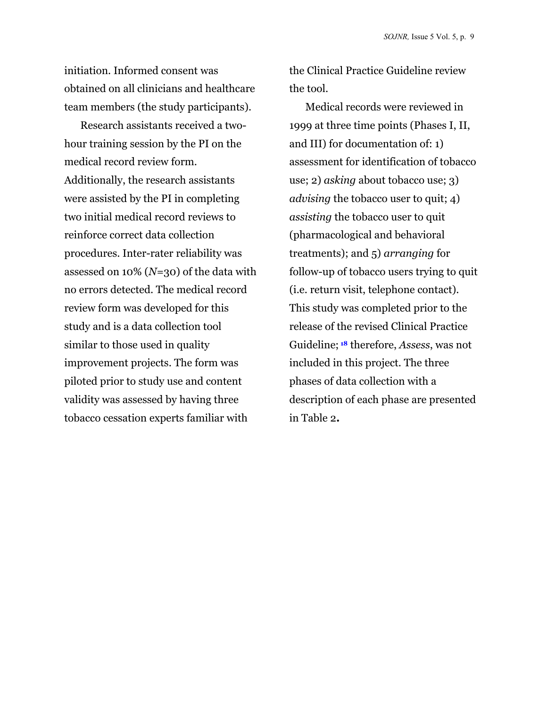initiation. Informed consent was obtained on all clinicians and healthcare team members (the study participants).

Research assistants received a twohour training session by the PI on the medical record review form. Additionally, the research assistants were assisted by the PI in completing two initial medical record reviews to reinforce correct data collection procedures. Inter-rater reliability was assessed on 10% (*N=*30) of the data with no errors detected. The medical record review form was developed for this study and is a data collection tool similar to those used in quality improvement projects. The form was piloted prior to study use and content validity was assessed by having three tobacco cessation experts familiar with

the Clinical Practice Guideline review the tool.

Medical records were reviewed in 1999 at three time points (Phases I, II, and III) for documentation of: 1) assessment for identification of tobacco use; 2) *asking* about tobacco use; 3) *advising* the tobacco user to quit; 4) *assisting* the tobacco user to quit (pharmacological and behavioral treatments); and 5) *arranging* for follow-up of tobacco users trying to quit (i.e. return visit, telephone contact). This study was completed prior to the release of the revised Clinical Practice Guideline; **18** therefore, *Assess*, was not included in this project. The three phases of data collection with a description of each phase are presented in Table 2**.**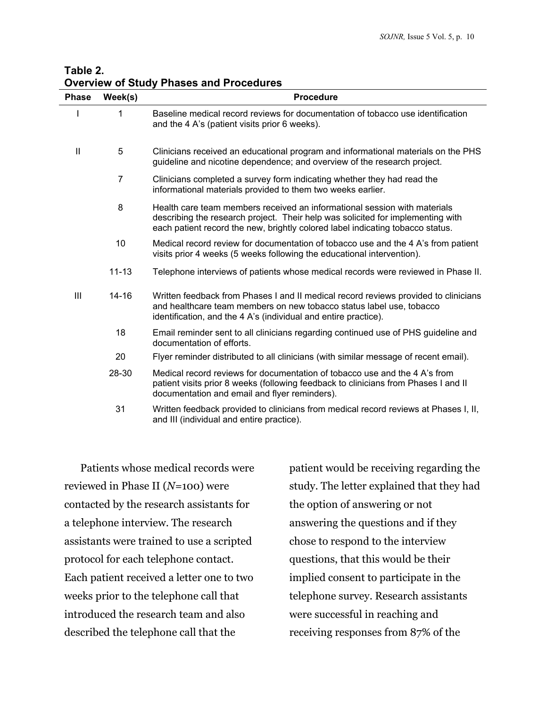| Table 2.                                       |  |
|------------------------------------------------|--|
| <b>Overview of Study Phases and Procedures</b> |  |

| <b>Phase</b> | Week(s)        | <b>Procedure</b>                                                                                                                                                                                                                               |
|--------------|----------------|------------------------------------------------------------------------------------------------------------------------------------------------------------------------------------------------------------------------------------------------|
|              | 1              | Baseline medical record reviews for documentation of tobacco use identification<br>and the 4 A's (patient visits prior 6 weeks).                                                                                                               |
| $\mathbf{I}$ | 5              | Clinicians received an educational program and informational materials on the PHS<br>guideline and nicotine dependence; and overview of the research project.                                                                                  |
|              | $\overline{7}$ | Clinicians completed a survey form indicating whether they had read the<br>informational materials provided to them two weeks earlier.                                                                                                         |
|              | 8              | Health care team members received an informational session with materials<br>describing the research project. Their help was solicited for implementing with<br>each patient record the new, brightly colored label indicating tobacco status. |
|              | 10             | Medical record review for documentation of tobacco use and the 4 A's from patient<br>visits prior 4 weeks (5 weeks following the educational intervention).                                                                                    |
|              | $11 - 13$      | Telephone interviews of patients whose medical records were reviewed in Phase II.                                                                                                                                                              |
| Ш            | 14-16          | Written feedback from Phases I and II medical record reviews provided to clinicians<br>and healthcare team members on new tobacco status label use, tobacco<br>identification, and the 4 A's (individual and entire practice).                 |
|              | 18             | Email reminder sent to all clinicians regarding continued use of PHS guideline and<br>documentation of efforts.                                                                                                                                |
|              | 20             | Flyer reminder distributed to all clinicians (with similar message of recent email).                                                                                                                                                           |
|              | 28-30          | Medical record reviews for documentation of tobacco use and the 4 A's from<br>patient visits prior 8 weeks (following feedback to clinicians from Phases I and II<br>documentation and email and flyer reminders).                             |
|              | 31             | Written feedback provided to clinicians from medical record reviews at Phases I, II,<br>and III (individual and entire practice).                                                                                                              |

Patients whose medical records were reviewed in Phase II (*N=*100) were contacted by the research assistants for a telephone interview. The research assistants were trained to use a scripted protocol for each telephone contact. Each patient received a letter one to two weeks prior to the telephone call that introduced the research team and also described the telephone call that the

patient would be receiving regarding the study. The letter explained that they had the option of answering or not answering the questions and if they chose to respond to the interview questions, that this would be their implied consent to participate in the telephone survey. Research assistants were successful in reaching and receiving responses from 87% of the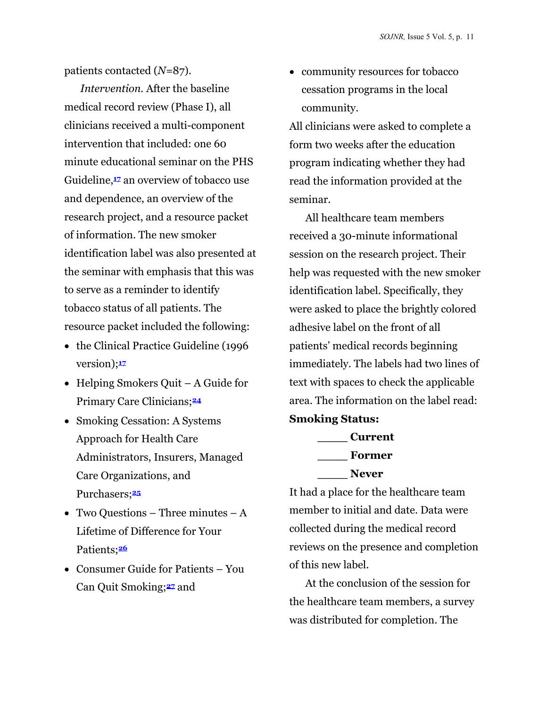patients contacted (*N=*87).

*Intervention.* After the baseline medical record review (Phase I), all clinicians received a multi-component intervention that included: one 60 minute educational seminar on the PHS Guideline,**17** an overview of tobacco use and dependence, an overview of the research project, and a resource packet of information. The new smoker identification label was also presented at the seminar with emphasis that this was to serve as a reminder to identify tobacco status of all patients. The resource packet included the following:

- the Clinical Practice Guideline (1996 version);**<sup>17</sup>**
- Helping Smokers Quit A Guide for Primary Care Clinicians;**<sup>24</sup>**
- Smoking Cessation: A Systems Approach for Health Care Administrators, Insurers, Managed Care Organizations, and Purchasers;**<sup>25</sup>**
- Two Questions Three minutes  $A$ Lifetime of Difference for Your Patients;**<sup>26</sup>**
- Consumer Guide for Patients You Can Quit Smoking;**27** and

• community resources for tobacco cessation programs in the local community.

All clinicians were asked to complete a form two weeks after the education program indicating whether they had read the information provided at the seminar.

All healthcare team members received a 30-minute informational session on the research project. Their help was requested with the new smoker identification label. Specifically, they were asked to place the brightly colored adhesive label on the front of all patients' medical records beginning immediately. The labels had two lines of text with spaces to check the applicable area. The information on the label read:

#### **Smoking Status:**

**\_\_\_\_ Current \_\_\_\_ Former \_\_\_\_ Never**

It had a place for the healthcare team member to initial and date. Data were collected during the medical record reviews on the presence and completion of this new label.

At the conclusion of the session for the healthcare team members, a survey was distributed for completion. The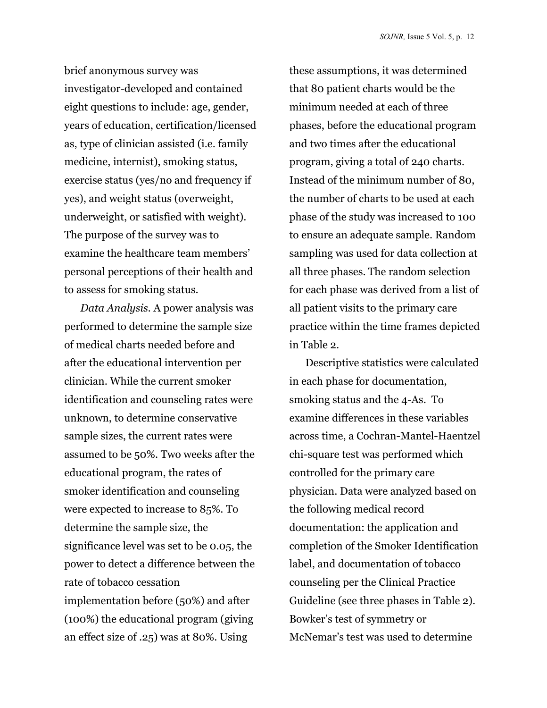brief anonymous survey was investigator-developed and contained eight questions to include: age, gender, years of education, certification/licensed as, type of clinician assisted (i.e. family medicine, internist), smoking status, exercise status (yes/no and frequency if yes), and weight status (overweight, underweight, or satisfied with weight). The purpose of the survey was to examine the healthcare team members' personal perceptions of their health and to assess for smoking status.

*Data Analysis.* A power analysis was performed to determine the sample size of medical charts needed before and after the educational intervention per clinician. While the current smoker identification and counseling rates were unknown, to determine conservative sample sizes, the current rates were assumed to be 50%. Two weeks after the educational program, the rates of smoker identification and counseling were expected to increase to 85%. To determine the sample size, the significance level was set to be 0.05, the power to detect a difference between the rate of tobacco cessation implementation before (50%) and after (100%) the educational program (giving an effect size of .25) was at 80%. Using

these assumptions, it was determined that 80 patient charts would be the minimum needed at each of three phases, before the educational program and two times after the educational program, giving a total of 240 charts. Instead of the minimum number of 80, the number of charts to be used at each phase of the study was increased to 100 to ensure an adequate sample. Random sampling was used for data collection at all three phases. The random selection for each phase was derived from a list of all patient visits to the primary care practice within the time frames depicted in Table 2.

Descriptive statistics were calculated in each phase for documentation, smoking status and the 4-As. To examine differences in these variables across time, a Cochran-Mantel-Haentzel chi-square test was performed which controlled for the primary care physician. Data were analyzed based on the following medical record documentation: the application and completion of the Smoker Identification label, and documentation of tobacco counseling per the Clinical Practice Guideline (see three phases in Table 2). Bowker's test of symmetry or McNemar's test was used to determine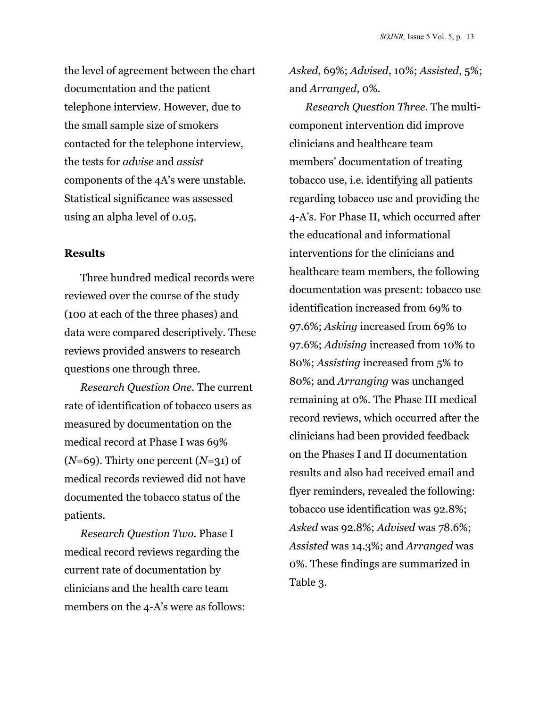the level of agreement between the chart documentation and the patient telephone interview. However, due to the small sample size of smokers contacted for the telephone interview, the tests for *advise* and *assist* components of the 4A's were unstable. Statistical significance was assessed using an alpha level of 0.05.

#### **Results**

Three hundred medical records were reviewed over the course of the study (100 at each of the three phases) and data were compared descriptively. These reviews provided answers to research questions one through three.

*Research Question One.* The current rate of identification of tobacco users as measured by documentation on the medical record at Phase I was 69% (*N=*69). Thirty one percent (*N=*31) of medical records reviewed did not have documented the tobacco status of the patients.

*Research Question Two.* Phase I medical record reviews regarding the current rate of documentation by clinicians and the health care team members on the 4-A's were as follows: *Asked*, 69%; *Advised*, 10%; *Assisted*, 5%; and *Arranged*, 0%.

*Research Question Three.* The multicomponent intervention did improve clinicians and healthcare team members' documentation of treating tobacco use, i.e. identifying all patients regarding tobacco use and providing the 4-A's. For Phase II, which occurred after the educational and informational interventions for the clinicians and healthcare team members, the following documentation was present: tobacco use identification increased from 69% to 97.6%; *Asking* increased from 69% to 97.6%; *Advising* increased from 10% to 80%; *Assisting* increased from 5% to 80%; and *Arranging* was unchanged remaining at 0%. The Phase III medical record reviews, which occurred after the clinicians had been provided feedback on the Phases I and II documentation results and also had received email and flyer reminders, revealed the following: tobacco use identification was 92.8%; *Asked* was 92.8%; *Advised* was 78.6%; *Assisted* was 14.3%; and *Arranged* was 0%. These findings are summarized in Table 3.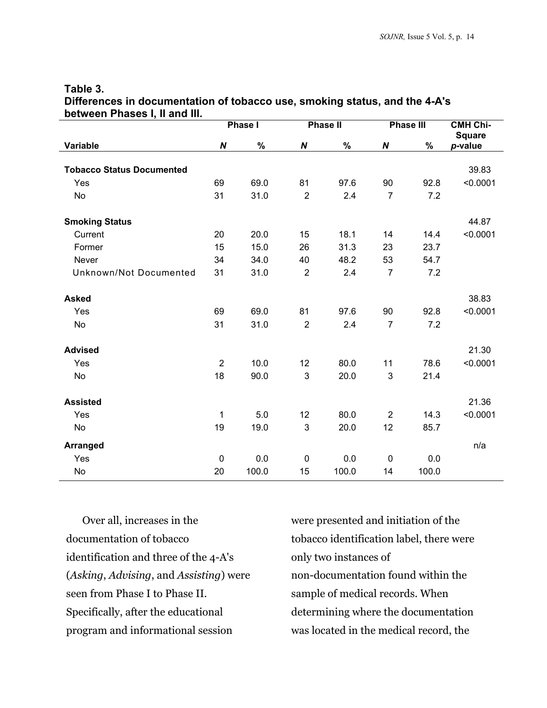| UCLWCCII FIIASCS I, II AIIU III. | Phase I          |       | <b>Phase II</b> |       | <b>Phase III</b> |       | <b>CMH Chi-</b><br><b>Square</b> |
|----------------------------------|------------------|-------|-----------------|-------|------------------|-------|----------------------------------|
| Variable                         | $\boldsymbol{N}$ | $\%$  | N               | $\%$  | $\pmb N$         | $\%$  | p-value                          |
|                                  |                  |       |                 |       |                  |       |                                  |
| <b>Tobacco Status Documented</b> |                  |       |                 |       |                  |       | 39.83                            |
| Yes                              | 69               | 69.0  | 81              | 97.6  | 90               | 92.8  | < 0.0001                         |
| <b>No</b>                        | 31               | 31.0  | $\overline{2}$  | 2.4   | $\overline{7}$   | 7.2   |                                  |
| <b>Smoking Status</b>            |                  |       |                 |       |                  |       | 44.87                            |
| Current                          | 20               | 20.0  | 15              | 18.1  | 14               | 14.4  | < 0.0001                         |
| Former                           | 15               | 15.0  | 26              | 31.3  | 23               | 23.7  |                                  |
| Never                            | 34               | 34.0  | 40              | 48.2  | 53               | 54.7  |                                  |
| Unknown/Not Documented           | 31               | 31.0  | $\overline{2}$  | 2.4   | $\overline{7}$   | 7.2   |                                  |
| <b>Asked</b>                     |                  |       |                 |       |                  |       | 38.83                            |
| Yes                              | 69               | 69.0  | 81              | 97.6  | 90               | 92.8  | < 0.0001                         |
| No                               | 31               | 31.0  | $\overline{2}$  | 2.4   | $\overline{7}$   | 7.2   |                                  |
| <b>Advised</b>                   |                  |       |                 |       |                  |       | 21.30                            |
| Yes                              | $\overline{2}$   | 10.0  | 12              | 80.0  | 11               | 78.6  | < 0.0001                         |
| <b>No</b>                        | 18               | 90.0  | 3               | 20.0  | 3                | 21.4  |                                  |
| <b>Assisted</b>                  |                  |       |                 |       |                  |       | 21.36                            |
| Yes                              | 1                | 5.0   | 12              | 80.0  | $\overline{2}$   | 14.3  | < 0.0001                         |
| <b>No</b>                        | 19               | 19.0  | 3               | 20.0  | 12               | 85.7  |                                  |
| <b>Arranged</b>                  |                  |       |                 |       |                  |       | n/a                              |
| Yes                              | 0                | 0.0   | $\mathbf 0$     | 0.0   | $\mathbf{0}$     | 0.0   |                                  |
| <b>No</b>                        | 20               | 100.0 | 15              | 100.0 | 14               | 100.0 |                                  |

#### **Table 3. Differences in documentation of tobacco use, smoking status, and the 4-A's between Phases I, II and III.**

Over all, increases in the documentation of tobacco identification and three of the 4-A's (*Asking*, *Advising*, and *Assisting*) were seen from Phase I to Phase II. Specifically, after the educational program and informational session

were presented and initiation of the tobacco identification label, there were only two instances of non-documentation found within the sample of medical records. When determining where the documentation was located in the medical record, the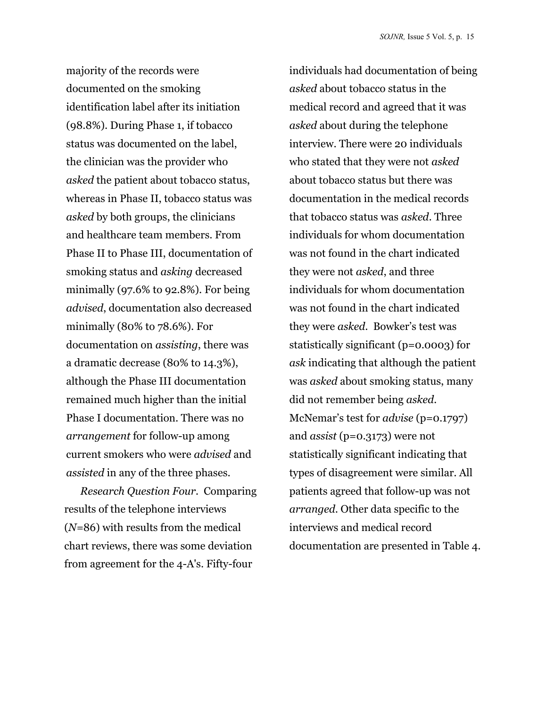majority of the records were documented on the smoking identification label after its initiation (98.8%). During Phase 1, if tobacco status was documented on the label, the clinician was the provider who *asked* the patient about tobacco status, whereas in Phase II, tobacco status was *asked* by both groups, the clinicians and healthcare team members. From Phase II to Phase III, documentation of smoking status and *asking* decreased minimally (97.6% to 92.8%). For being *advised*, documentation also decreased minimally (80% to 78.6%). For documentation on *assisting*, there was a dramatic decrease (80% to 14.3%), although the Phase III documentation remained much higher than the initial Phase I documentation. There was no *arrangement* for follow-up among current smokers who were *advised* and *assisted* in any of the three phases.

*Research Question Four.* Comparing results of the telephone interviews (*N=*86) with results from the medical chart reviews, there was some deviation from agreement for the 4-A's. Fifty-four

individuals had documentation of being *asked* about tobacco status in the medical record and agreed that it was *asked* about during the telephone interview. There were 20 individuals who stated that they were not *asked* about tobacco status but there was documentation in the medical records that tobacco status was *asked*. Three individuals for whom documentation was not found in the chart indicated they were not *asked*, and three individuals for whom documentation was not found in the chart indicated they were *asked*. Bowker's test was statistically significant (p=0.0003) for *ask* indicating that although the patient was *asked* about smoking status, many did not remember being *asked*. McNemar's test for *advise* (p=0.1797) and *assist* (p=0.3173) were not statistically significant indicating that types of disagreement were similar. All patients agreed that follow-up was not *arranged*. Other data specific to the interviews and medical record documentation are presented in Table 4.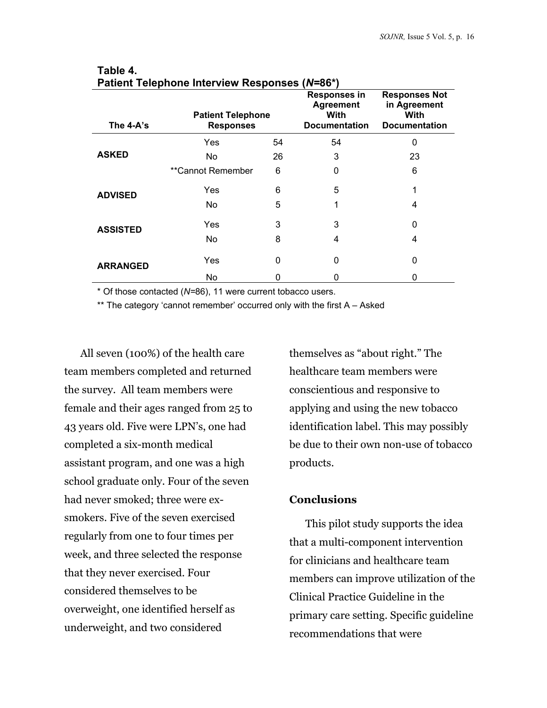| The 4-A's       | <b>Patient Telephone</b><br><b>Responses</b> |    | <b>Responses in</b><br><b>Agreement</b><br>With<br><b>Documentation</b> | <b>Responses Not</b><br>in Agreement<br>With<br><b>Documentation</b> |
|-----------------|----------------------------------------------|----|-------------------------------------------------------------------------|----------------------------------------------------------------------|
|                 | Yes                                          | 54 | 54                                                                      | 0                                                                    |
| <b>ASKED</b>    | No.                                          | 26 | 3                                                                       | 23                                                                   |
|                 | **Cannot Remember                            | 6  | 0                                                                       | 6                                                                    |
| <b>ADVISED</b>  | Yes                                          | 6  | 5                                                                       |                                                                      |
|                 | No.                                          | 5  | 1                                                                       | 4                                                                    |
| <b>ASSISTED</b> | Yes                                          | 3  | 3                                                                       | 0                                                                    |
|                 | No.                                          | 8  | 4                                                                       | 4                                                                    |
| <b>ARRANGED</b> | Yes                                          | 0  | 0                                                                       | 0                                                                    |
|                 | No.                                          | 0  | 0                                                                       | 0                                                                    |

#### **Table 4. Patient Telephone Interview Responses (***N=***86\*)**

\* Of those contacted (*N=*86), 11 were current tobacco users.

\*\* The category 'cannot remember' occurred only with the first A - Asked

All seven (100%) of the health care team members completed and returned the survey. All team members were female and their ages ranged from 25 to 43 years old. Five were LPN's, one had completed a six-month medical assistant program, and one was a high school graduate only. Four of the seven had never smoked; three were exsmokers. Five of the seven exercised regularly from one to four times per week, and three selected the response that they never exercised. Four considered themselves to be overweight, one identified herself as underweight, and two considered

themselves as "about right." The healthcare team members were conscientious and responsive to applying and using the new tobacco identification label. This may possibly be due to their own non-use of tobacco products.

### **Conclusions**

This pilot study supports the idea that a multi-component intervention for clinicians and healthcare team members can improve utilization of the Clinical Practice Guideline in the primary care setting. Specific guideline recommendations that were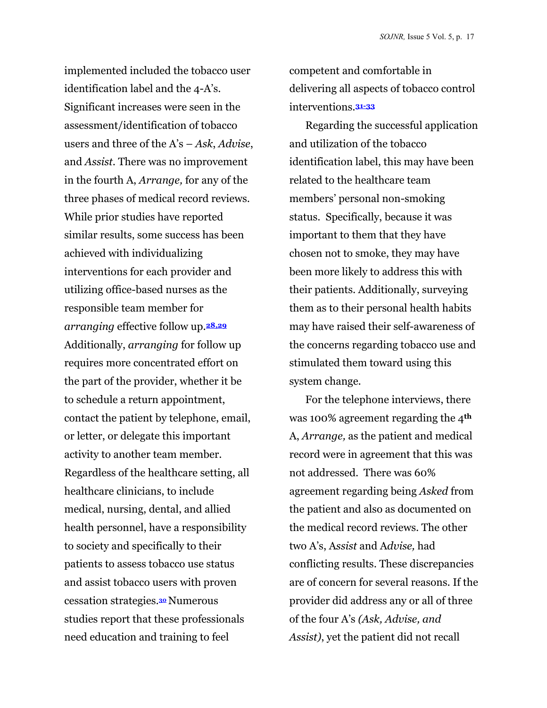implemented included the tobacco user identification label and the 4-A's. Significant increases were seen in the assessment/identification of tobacco users and three of the A's – *Ask*, *Advise*, and *Assist*. There was no improvement in the fourth A, *Arrange,* for any of the three phases of medical record reviews. While prior studies have reported similar results, some success has been achieved with individualizing interventions for each provider and utilizing office-based nurses as the responsible team member for *arranging* effective follow up.**28,29** Additionally, *arranging* for follow up requires more concentrated effort on the part of the provider, whether it be to schedule a return appointment, contact the patient by telephone, email, or letter, or delegate this important activity to another team member. Regardless of the healthcare setting, all healthcare clinicians, to include medical, nursing, dental, and allied health personnel, have a responsibility to society and specifically to their patients to assess tobacco use status and assist tobacco users with proven cessation strategies.**<sup>30</sup>** Numerous studies report that these professionals need education and training to feel

competent and comfortable in delivering all aspects of tobacco control interventions.**31-33**

Regarding the successful application and utilization of the tobacco identification label, this may have been related to the healthcare team members' personal non-smoking status. Specifically, because it was important to them that they have chosen not to smoke, they may have been more likely to address this with their patients. Additionally, surveying them as to their personal health habits may have raised their self-awareness of the concerns regarding tobacco use and stimulated them toward using this system change.

For the telephone interviews, there was 100% agreement regarding the 4**th** A, *Arrange,* as the patient and medical record were in agreement that this was not addressed. There was 60% agreement regarding being *Asked* from the patient and also as documented on the medical record reviews. The other two A's, A*ssist* and A*dvise,* had conflicting results. These discrepancies are of concern for several reasons. If the provider did address any or all of three of the four A's *(Ask, Advise, and Assist)*, yet the patient did not recall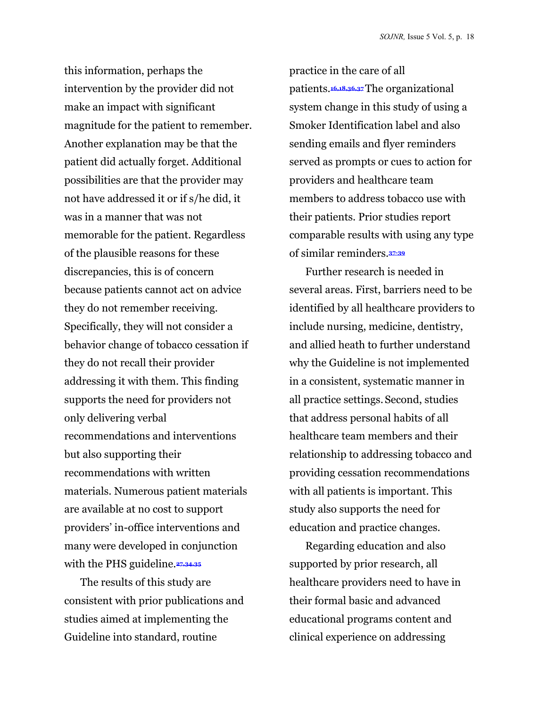this information, perhaps the intervention by the provider did not make an impact with significant magnitude for the patient to remember. Another explanation may be that the patient did actually forget. Additional possibilities are that the provider may not have addressed it or if s/he did, it was in a manner that was not memorable for the patient. Regardless of the plausible reasons for these discrepancies, this is of concern because patients cannot act on advice they do not remember receiving. Specifically, they will not consider a behavior change of tobacco cessation if they do not recall their provider addressing it with them. This finding supports the need for providers not only delivering verbal recommendations and interventions but also supporting their recommendations with written materials. Numerous patient materials are available at no cost to support providers' in-office interventions and many were developed in conjunction with the PHS guideline.**27,34,35**

The results of this study are consistent with prior publications and studies aimed at implementing the Guideline into standard, routine

practice in the care of all patients.**16,18,36,37** The organizational system change in this study of using a Smoker Identification label and also sending emails and flyer reminders served as prompts or cues to action for providers and healthcare team members to address tobacco use with their patients. Prior studies report comparable results with using any type of similar reminders.**37-39** 

Further research is needed in several areas. First, barriers need to be identified by all healthcare providers to include nursing, medicine, dentistry, and allied heath to further understand why the Guideline is not implemented in a consistent, systematic manner in all practice settings. Second, studies that address personal habits of all healthcare team members and their relationship to addressing tobacco and providing cessation recommendations with all patients is important. This study also supports the need for education and practice changes.

Regarding education and also supported by prior research, all healthcare providers need to have in their formal basic and advanced educational programs content and clinical experience on addressing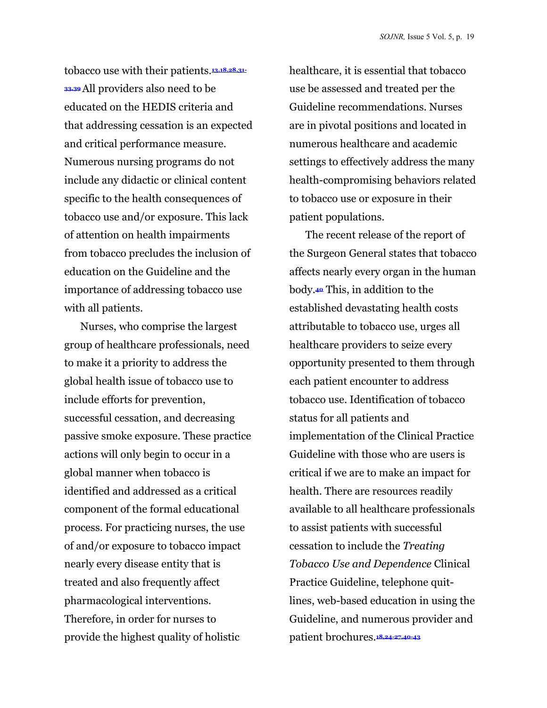tobacco use with their patients.**13,18,28,31- 33,39** All providers also need to be educated on the HEDIS criteria and that addressing cessation is an expected and critical performance measure. Numerous nursing programs do not include any didactic or clinical content specific to the health consequences of tobacco use and/or exposure. This lack of attention on health impairments from tobacco precludes the inclusion of education on the Guideline and the importance of addressing tobacco use with all patients.

Nurses, who comprise the largest group of healthcare professionals, need to make it a priority to address the global health issue of tobacco use to include efforts for prevention, successful cessation, and decreasing passive smoke exposure. These practice actions will only begin to occur in a global manner when tobacco is identified and addressed as a critical component of the formal educational process. For practicing nurses, the use of and/or exposure to tobacco impact nearly every disease entity that is treated and also frequently affect pharmacological interventions. Therefore, in order for nurses to provide the highest quality of holistic

healthcare, it is essential that tobacco use be assessed and treated per the Guideline recommendations. Nurses are in pivotal positions and located in numerous healthcare and academic settings to effectively address the many health-compromising behaviors related to tobacco use or exposure in their patient populations.

The recent release of the report of the Surgeon General states that tobacco affects nearly every organ in the human body.**40** This, in addition to the established devastating health costs attributable to tobacco use, urges all healthcare providers to seize every opportunity presented to them through each patient encounter to address tobacco use. Identification of tobacco status for all patients and implementation of the Clinical Practice Guideline with those who are users is critical if we are to make an impact for health. There are resources readily available to all healthcare professionals to assist patients with successful cessation to include the *Treating Tobacco Use and Dependence* Clinical Practice Guideline, telephone quitlines, web-based education in using the Guideline, and numerous provider and patient brochures.**18,24-27,40-43**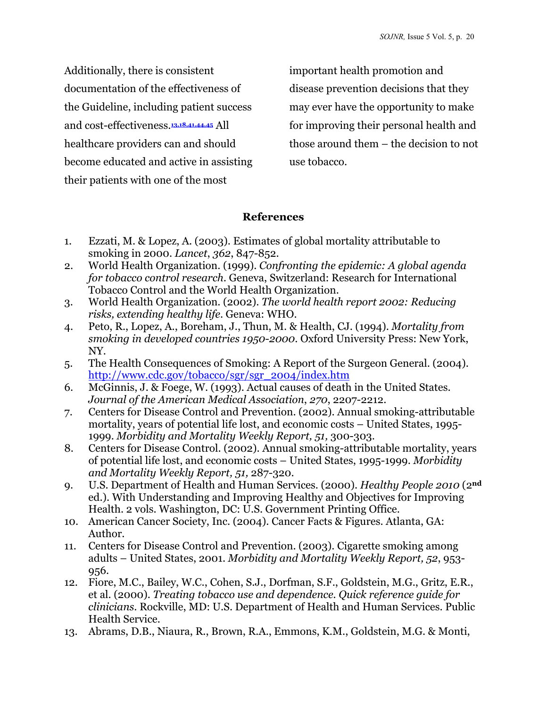Additionally, there is consistent documentation of the effectiveness of the Guideline, including patient success and cost-effectiveness.**13,18,41,44,45** All healthcare providers can and should become educated and active in assisting their patients with one of the most

important health promotion and disease prevention decisions that they may ever have the opportunity to make for improving their personal health and those around them – the decision to not use tobacco.

## **References**

- 1. Ezzati, M. & Lopez, A. (2003). Estimates of global mortality attributable to smoking in 2000. *Lancet*, *362*, 847-852.
- 2. World Health Organization. (1999). *Confronting the epidemic: A global agenda for tobacco control research.* Geneva, Switzerland: Research for International Tobacco Control and the World Health Organization.
- 3. World Health Organization. (2002). *The world health report 2002: Reducing risks, extending healthy life*. Geneva: WHO.
- 4. Peto, R., Lopez, A., Boreham, J., Thun, M. & Health, CJ. (1994). *Mortality from smoking in developed countries 1950-2000*. Oxford University Press: New York, NY.
- 5. The Health Consequences of Smoking: A Report of the Surgeon General. (2004). [http://www.cdc.gov/tobacco/sgr/sgr\\_2004/index.htm](http://www.cdc.gov/tobacco/sgr/sgr_2004/index.htm)
- 6. McGinnis, J. & Foege, W. (1993). Actual causes of death in the United States. *Journal of the American Medical Association*, *270*, 2207-2212.
- 7. Centers for Disease Control and Prevention. (2002). Annual smoking-attributable mortality, years of potential life lost, and economic costs – United States, 1995- 1999. *Morbidity and Mortality Weekly Report, 51,* 300-303.
- 8. Centers for Disease Control. (2002). Annual smoking-attributable mortality, years of potential life lost, and economic costs – United States, 1995-1999. *Morbidity and Mortality Weekly Report, 51,* 287-320.
- 9. U.S. Department of Health and Human Services. (2000). *Healthy People 2010* (2**nd** ed.). With Understanding and Improving Healthy and Objectives for Improving Health. 2 vols. Washington, DC: U.S. Government Printing Office.
- 10. American Cancer Society, Inc. (2004). Cancer Facts & Figures. Atlanta, GA: Author.
- 11. Centers for Disease Control and Prevention. (2003). Cigarette smoking among adults – United States, 2001. *Morbidity and Mortality Weekly Report, 52*, 953- 956.
- 12. Fiore, M.C., Bailey, W.C., Cohen, S.J., Dorfman, S.F., Goldstein, M.G., Gritz, E.R., et al. (2000). *Treating tobacco use and dependence. Quick reference guide for clinicians*. Rockville, MD: U.S. Department of Health and Human Services. Public Health Service.
- 13. Abrams, D.B., Niaura, R., Brown, R.A., Emmons, K.M., Goldstein, M.G. & Monti,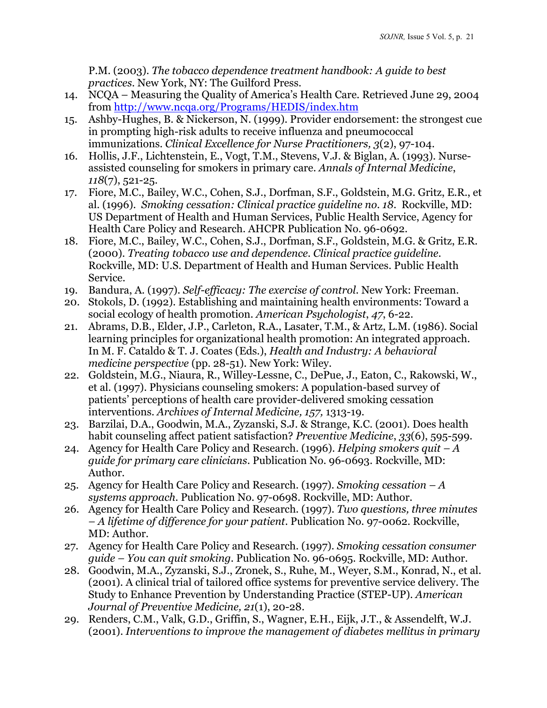P.M. (2003). *The tobacco dependence treatment handbook: A guide to best practices*. New York, NY: The Guilford Press.

- 14. NCQA Measuring the Quality of America's Health Care. Retrieved June 29, 2004 from [http://www.ncqa.org/Programs/HEDIS/index.htm](www.ncqa.org/Programs/HEDIS/index.htm)
- 15. Ashby-Hughes, B. & Nickerson, N. (1999). Provider endorsement: the strongest cue in prompting high-risk adults to receive influenza and pneumococcal immunizations. *Clinical Excellence for Nurse Practitioners, 3*(2), 97-104.
- 16. Hollis, J.F., Lichtenstein, E., Vogt, T.M., Stevens, V.J. & Biglan, A. (1993). Nurseassisted counseling for smokers in primary care. *Annals of Internal Medicine*, *118*(7), 521-25.
- 17. Fiore, M.C., Bailey, W.C., Cohen, S.J., Dorfman, S.F., Goldstein, M.G. Gritz, E.R., et al. (1996). *Smoking cessation: Clinical practice guideline no. 18*. Rockville, MD: US Department of Health and Human Services, Public Health Service, Agency for Health Care Policy and Research. AHCPR Publication No. 96-0692.
- 18. Fiore, M.C., Bailey, W.C., Cohen, S.J., Dorfman, S.F., Goldstein, M.G. & Gritz, E.R. (2000). *Treating tobacco use and dependence. Clinical practice guideline*. Rockville, MD: U.S. Department of Health and Human Services. Public Health Service.
- 19. Bandura, A. (1997). *Self-efficacy: The exercise of control*. New York: Freeman.
- 20. Stokols, D. (1992). Establishing and maintaining health environments: Toward a social ecology of health promotion. *American Psychologist*, *47*, 6-22.
- 21. Abrams, D.B., Elder, J.P., Carleton, R.A., Lasater, T.M., & Artz, L.M. (1986). Social learning principles for organizational health promotion: An integrated approach. In M. F. Cataldo & T. J. Coates (Eds.), *Health and Industry: A behavioral medicine perspective* (pp. 28-51). New York: Wiley.
- 22. Goldstein, M.G., Niaura, R., Willey-Lessne, C., DePue, J., Eaton, C., Rakowski, W., et al. (1997). Physicians counseling smokers: A population-based survey of patients' perceptions of health care provider-delivered smoking cessation interventions. *Archives of Internal Medicine, 157,* 1313-19.
- 23. Barzilai, D.A., Goodwin, M.A., Zyzanski, S.J. & Strange, K.C. (2001). Does health habit counseling affect patient satisfaction? *Preventive Medicine*, *33*(6), 595-599.
- 24. Agency for Health Care Policy and Research. (1996). *Helping smokers quit A guide for primary care clinicians*. Publication No. 96-0693. Rockville, MD: Author.
- 25. Agency for Health Care Policy and Research. (1997). *Smoking cessation A systems approach*. Publication No. 97-0698. Rockville, MD: Author.
- 26. Agency for Health Care Policy and Research. (1997). *Two questions, three minutes – A lifetime of difference for your patient*. Publication No. 97-0062. Rockville, MD: Author.
- 27. Agency for Health Care Policy and Research. (1997). *Smoking cessation consumer guide – You can quit smoking.* Publication No. 96-0695. Rockville, MD: Author.
- 28. Goodwin, M.A., Zyzanski, S.J., Zronek, S., Ruhe, M., Weyer, S.M., Konrad, N., et al. (2001). A clinical trial of tailored office systems for preventive service delivery. The Study to Enhance Prevention by Understanding Practice (STEP-UP). *American Journal of Preventive Medicine, 21*(1), 20-28.
- 29. Renders, C.M., Valk, G.D., Griffin, S., Wagner, E.H., Eijk, J.T., & Assendelft, W.J. (2001). *Interventions to improve the management of diabetes mellitus in primary*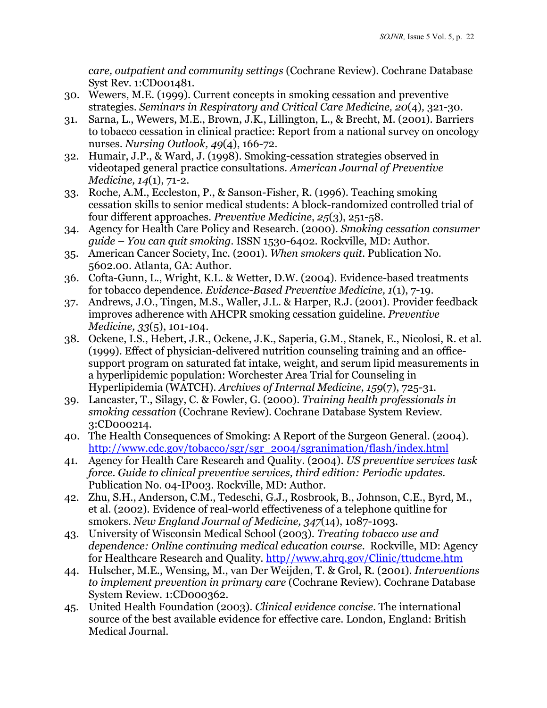*care, outpatient and community settings* (Cochrane Review). Cochrane Database Syst Rev. 1:CD001481.

- 30. Wewers, M.E. (1999). Current concepts in smoking cessation and preventive strategies. *Seminars in Respiratory and Critical Care Medicine, 20*(4)*,* 321-30.
- 31. Sarna, L., Wewers, M.E., Brown, J.K., Lillington, L., & Brecht, M. (2001). Barriers to tobacco cessation in clinical practice: Report from a national survey on oncology nurses. *Nursing Outlook, 49*(4), 166-72.
- 32. Humair, J.P., & Ward, J. (1998). Smoking-cessation strategies observed in videotaped general practice consultations. *American Journal of Preventive Medicine, 14*(1), 71-2.
- 33. Roche, A.M., Eccleston, P., & Sanson-Fisher, R. (1996). Teaching smoking cessation skills to senior medical students: A block-randomized controlled trial of four different approaches. *Preventive Medicine*, *25*(3), 251-58.
- 34. Agency for Health Care Policy and Research. (2000). *Smoking cessation consumer guide – You can quit smoking.* ISSN 1530-6402. Rockville, MD: Author.
- 35. American Cancer Society, Inc. (2001). *When smokers quit*. Publication No. 5602.00. Atlanta, GA: Author.
- 36. Cofta-Gunn, L., Wright, K.L. & Wetter, D.W. (2004). Evidence-based treatments for tobacco dependence. *Evidence-Based Preventive Medicine, 1*(1), 7-19.
- 37. Andrews, J.O., Tingen, M.S., Waller, J.L. & Harper, R.J. (2001). Provider feedback improves adherence with AHCPR smoking cessation guideline. *Preventive Medicine, 33*(5), 101-104.
- 38. Ockene, I.S., Hebert, J.R., Ockene, J.K., Saperia, G.M., Stanek, E., Nicolosi, R. et al. (1999). Effect of physician-delivered nutrition counseling training and an officesupport program on saturated fat intake, weight, and serum lipid measurements in a hyperlipidemic population: Worchester Area Trial for Counseling in Hyperlipidemia (WATCH). *Archives of Internal Medicine*, *159*(7), 725-31.
- 39. Lancaster, T., Silagy, C. & Fowler, G. (2000). *Training health professionals in smoking cessation* (Cochrane Review). Cochrane Database System Review. 3:CD000214.
- 40. The Health Consequences of Smoking: A Report of the Surgeon General. (2004). [http://www.cdc.gov/tobacco/sgr/sgr\\_2004/sgranimation/flash/index.html](www.cdc.gov/tobacco/sgr/sgr_2004/sgranimation/flash/index.html)
- 41. Agency for Health Care Research and Quality. (2004). *US preventive services task force. Guide to clinical preventive services, third edition: Periodic updates.* Publication No. 04-IP003. Rockville, MD: Author.
- 42. Zhu, S.H., Anderson, C.M., Tedeschi, G.J., Rosbrook, B., Johnson, C.E., Byrd, M., et al. (2002). Evidence of real-world effectiveness of a telephone quitline for smokers. *New England Journal of Medicine, 347*(14), 1087-1093.
- 43. University of Wisconsin Medical School (2003). *Treating tobacco use and dependence: Online continuing medical education course*. Rockville, MD: Agency for Healthcare Research and Quality[. http//www.ahrq.gov/Clinic/ttudcme.htm](www.ahrq.gov/Clinic/ttudcme.htm)
- 44. Hulscher, M.E., Wensing, M., van Der Weijden, T. & Grol, R. (2001). *Interventions to implement prevention in primary care* (Cochrane Review). Cochrane Database System Review. 1:CD000362.
- 45. United Health Foundation (2003). *Clinical evidence concise*. The international source of the best available evidence for effective care. London, England: British Medical Journal.